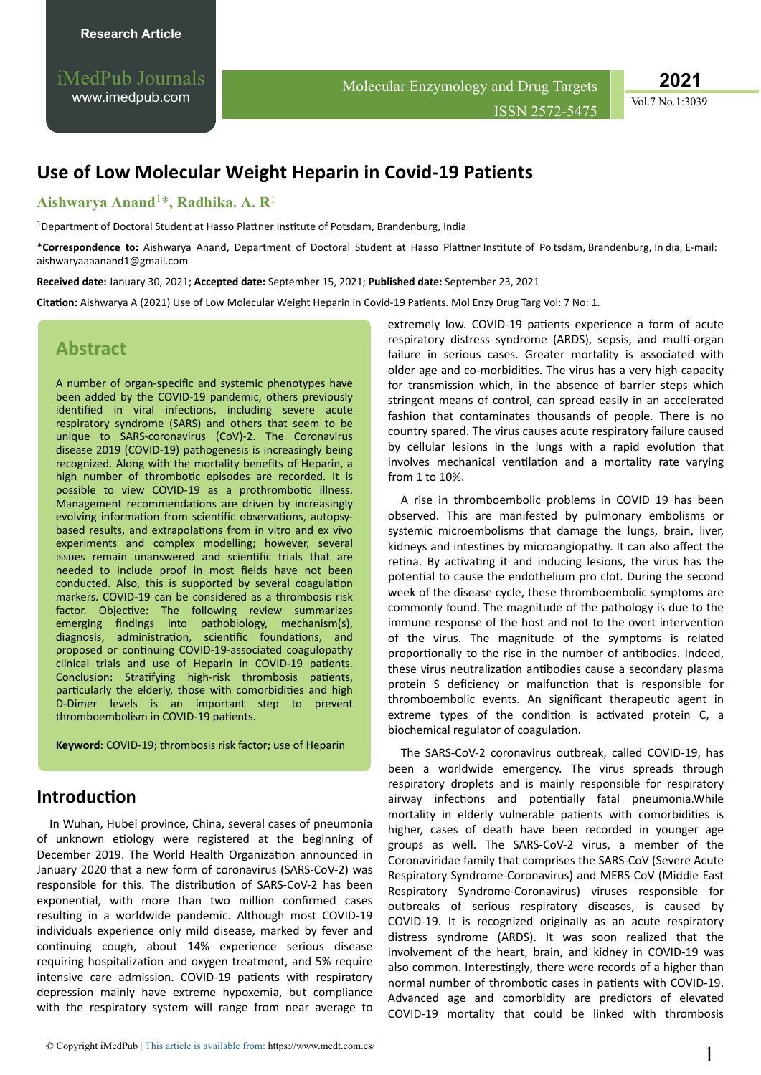iMedPub Journals [www.imedpub.com](http://www.imedpub.com/)

Molecular Enzymology and Drug Targets ISSN 2572-5475 **2021**

Vol.7 No.1:3039

# **Use of Low Molecular Weight Heparin in Covid-19 Patients**

### **Aishwarya Anand**1\***, Radhika. A. R**<sup>1</sup>

<sup>1</sup>Department of Doctoral Student at Hasso Plattner Institute of Potsdam, Brandenburg, India

\*Correspondence to: Aishwarya Anand, Department of Doctoral Student at Hasso Plattner Institute of Po tsdam, Brandenburg, In dia, E-mail: aishwaryaaaanand1@gmail.com

**Received date:** January 30, 2021; **Accepted date:** September 15, 2021; **Published date:** September 23, 2021

**Citation:** Aishwarya A (2021) Use of Low Molecular Weight Heparin in Covid-19 Patients. Mol Enzy Drug Targ Vol: 7 No: 1.

## **Abstract**

A number of organ-specific and systemic phenotypes have been added by the COVID-19 pandemic, others previously identified in viral infections, including severe acute respiratory syndrome (SARS) and others that seem to be unique to SARS-coronavirus (CoV)-2. The Coronavirus disease 2019 (COVID-19) pathogenesis is increasingly being recognized. Along with the mortality benefits of Heparin, a high number of thrombotic episodes are recorded. It is possible to view COVID-19 as a prothrombotic illness. Management recommendations are driven by increasingly evolving information from scientific observations, autopsybased results, and extrapolations from in vitro and ex vivo experiments and complex modelling; however, several issues remain unanswered and scientific trials that are needed to include proof in most fields have not been conducted. Also, this is supported by several coagulation markers. COVID-19 can be considered as a thrombosis risk factor. Objective: The following review summarizes emerging findings into pathobiology, mechanism(s), diagnosis, administration, scientific foundations, and proposed or continuing COVID-19-associated coagulopathy clinical trials and use of Heparin in COVID-19 patients. Conclusion: Stratifying high-risk thrombosis patients, particularly the elderly, those with comorbidities and high D-Dimer levels is an important step to prevent thromboembolism in COVID-19 patients.

**Keyword**: COVID-19; thrombosis risk factor; use of Heparin

### **Introduction**

In Wuhan, Hubei province, China, several cases of pneumonia of unknown etiology were registered at the beginning of December 2019. The World Health Organization announced in January 2020 that a new form of coronavirus (SARS-CoV-2) was responsible for this. The distribution of SARS-CoV-2 has been exponential, with more than two million confirmed cases resulting in a worldwide pandemic. Although most COVID-19 individuals experience only mild disease, marked by fever and continuing cough, about 14% experience serious disease requiring hospitalization and oxygen treatment, and 5% require intensive care admission. COVID-19 patients with respiratory depression mainly have extreme hypoxemia, but compliance with the respiratory system will range from near average to

extremely low. COVID-19 patients experience a form of acute respiratory distress syndrome (ARDS), sepsis, and multi-organ failure in serious cases. Greater mortality is associated with older age and co-morbidities. The virus has a very high capacity for transmission which, in the absence of barrier steps which stringent means of control, can spread easily in an accelerated fashion that contaminates thousands of people. There is no country spared. The virus causes acute respiratory failure caused by cellular lesions in the lungs with a rapid evolution that involves mechanical ventilation and a mortality rate varying from 1 to 10%.

A rise in thromboembolic problems in COVID 19 has been observed. This are manifested by pulmonary embolisms or systemic microembolisms that damage the lungs, brain, liver, kidneys and intestines by microangiopathy. It can also affect the retina. By activating it and inducing lesions, the virus has the potential to cause the endothelium pro clot. During the second week of the disease cycle, these thromboembolic symptoms are commonly found. The magnitude of the pathology is due to the immune response of the host and not to the overt intervention of the virus. The magnitude of the symptoms is related proportionally to the rise in the number of antibodies. Indeed, these virus neutralization antibodies cause a secondary plasma protein S deficiency or malfunction that is responsible for thromboembolic events. An significant therapeutic agent in extreme types of the condition is activated protein C, a biochemical regulator of coagulation.

The SARS-CoV-2 coronavirus outbreak, called COVID-19, has been a worldwide emergency. The virus spreads through respiratory droplets and is mainly responsible for respiratory airway infections and potentially fatal pneumonia.While mortality in elderly vulnerable patients with comorbidities is higher, cases of death have been recorded in younger age groups as well. The SARS-CoV-2 virus, a member of the Coronaviridae family that comprises the SARS-CoV (Severe Acute Respiratory Syndrome-Coronavirus) and MERS-CoV (Middle East Respiratory Syndrome-Coronavirus) viruses responsible for outbreaks of serious respiratory diseases, is caused by COVID-19. It is recognized originally as an acute respiratory distress syndrome (ARDS). It was soon realized that the involvement of the heart, brain, and kidney in COVID-19 was also common. Interestingly, there were records of a higher than normal number of thrombotic cases in patients with COVID-19. Advanced age and comorbidity are predictors of elevated COVID-19 mortality that could be linked with thrombosis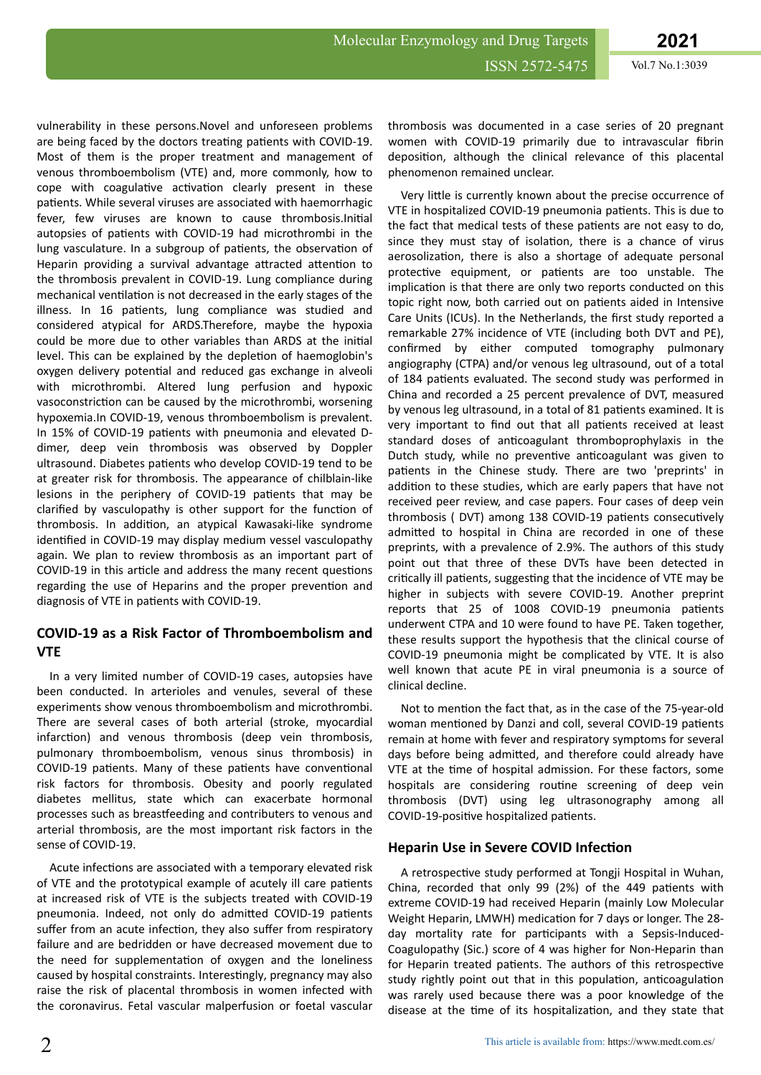vulnerability in these persons.Novel and unforeseen problems are being faced by the doctors treating patients with COVID-19. Most of them is the proper treatment and management of venous thromboembolism (VTE) and, more commonly, how to cope with coagulative activation clearly present in these patients. While several viruses are associated with haemorrhagic fever, few viruses are known to cause thrombosis. Initial autopsies of patients with COVID-19 had microthrombi in the lung vasculature. In a subgroup of patients, the observation of Heparin providing a survival advantage attracted attention to the thrombosis prevalent in COVID-19. Lung compliance during mechanical ventilation is not decreased in the early stages of the illness. In 16 patients, lung compliance was studied and considered atypical for ARDS.Therefore, maybe the hypoxia could be more due to other variables than ARDS at the initial level. This can be explained by the depletion of haemoglobin's oxygen delivery potential and reduced gas exchange in alveoli with microthrombi. Altered lung perfusion and hypoxic vasoconstriction can be caused by the microthrombi, worsening hypoxemia.In COVID-19, venous thromboembolism is prevalent. In 15% of COVID-19 patients with pneumonia and elevated Ddimer, deep vein thrombosis was observed by Doppler ultrasound. Diabetes patients who develop COVID-19 tend to be at greater risk for thrombosis. The appearance of chilblain-like lesions in the periphery of COVID-19 patients that may be clarified by vasculopathy is other support for the function of thrombosis. In addition, an atypical Kawasaki-like syndrome identified in COVID-19 may display medium vessel vasculopathy again. We plan to review thrombosis as an important part of COVID-19 in this article and address the many recent questions regarding the use of Heparins and the proper prevention and diagnosis of VTE in patients with COVID-19.

#### **COVID-19 as a Risk Factor of Thromboembolism and VTE**

In a very limited number of COVID-19 cases, autopsies have been conducted. In arterioles and venules, several of these experiments show venous thromboembolism and microthrombi. There are several cases of both arterial (stroke, myocardial infarction) and venous thrombosis (deep vein thrombosis, pulmonary thromboembolism, venous sinus thrombosis) in COVID-19 patients. Many of these patients have conventional risk factors for thrombosis. Obesity and poorly regulated diabetes mellitus, state which can exacerbate hormonal processes such as breastfeeding and contributers to venous and arterial thrombosis, are the most important risk factors in the sense of COVID-19.

Acute infections are associated with a temporary elevated risk of VTE and the prototypical example of acutely ill care patients at increased risk of VTE is the subjects treated with COVID-19 pneumonia. Indeed, not only do admitted COVID-19 patients suffer from an acute infection, they also suffer from respiratory failure and are bedridden or have decreased movement due to the need for supplementation of oxygen and the loneliness caused by hospital constraints. Interestingly, pregnancy may also raise the risk of placental thrombosis in women infected with the coronavirus. Fetal vascular malperfusion or foetal vascular thrombosis was documented in a case series of 20 pregnant women with COVID-19 primarily due to intravascular fibrin deposition, although the clinical relevance of this placental phenomenon remained unclear.

Very little is currently known about the precise occurrence of VTE in hospitalized COVID-19 pneumonia patients. This is due to the fact that medical tests of these patients are not easy to do, since they must stay of isolation, there is a chance of virus aerosolization, there is also a shortage of adequate personal protective equipment, or patients are too unstable. The implication is that there are only two reports conducted on this topic right now, both carried out on patients aided in Intensive Care Units (ICUs). In the Netherlands, the first study reported a remarkable 27% incidence of VTE (including both DVT and PE), confirmed by either computed tomography pulmonary angiography (CTPA) and/or venous leg ultrasound, out of a total of 184 patients evaluated. The second study was performed in China and recorded a 25 percent prevalence of DVT, measured by venous leg ultrasound, in a total of 81 patients examined. It is very important to find out that all patients received at least standard doses of anticoagulant thromboprophylaxis in the Dutch study, while no preventive anticoagulant was given to patients in the Chinese study. There are two 'preprints' in addition to these studies, which are early papers that have not received peer review, and case papers. Four cases of deep vein thrombosis (DVT) among 138 COVID-19 patients consecutively admitted to hospital in China are recorded in one of these preprints, with a prevalence of 2.9%. The authors of this study point out that three of these DVTs have been detected in critically ill patients, suggesting that the incidence of VTE may be higher in subjects with severe COVID-19. Another preprint reports that 25 of 1008 COVID-19 pneumonia patients underwent CTPA and 10 were found to have PE. Taken together, these results support the hypothesis that the clinical course of COVID-19 pneumonia might be complicated by VTE. It is also well known that acute PE in viral pneumonia is a source of clinical decline.

Not to mention the fact that, as in the case of the 75-year-old woman mentioned by Danzi and coll, several COVID-19 patients remain at home with fever and respiratory symptoms for several days before being admitted, and therefore could already have VTE at the time of hospital admission. For these factors, some hospitals are considering routine screening of deep vein thrombosis (DVT) using leg ultrasonography among all COVID-19-positive hospitalized patients.

#### **Heparin Use in Severe COVID Infection**

A retrospective study performed at Tongji Hospital in Wuhan, China, recorded that only 99 (2%) of the 449 patients with extreme COVID-19 had received Heparin (mainly Low Molecular Weight Heparin, LMWH) medication for 7 days or longer. The 28day mortality rate for participants with a Sepsis-Induced-Coagulopathy (Sic.) score of 4 was higher for Non-Heparin than for Heparin treated patients. The authors of this retrospective study rightly point out that in this population, anticoagulation was rarely used because there was a poor knowledge of the disease at the time of its hospitalization, and they state that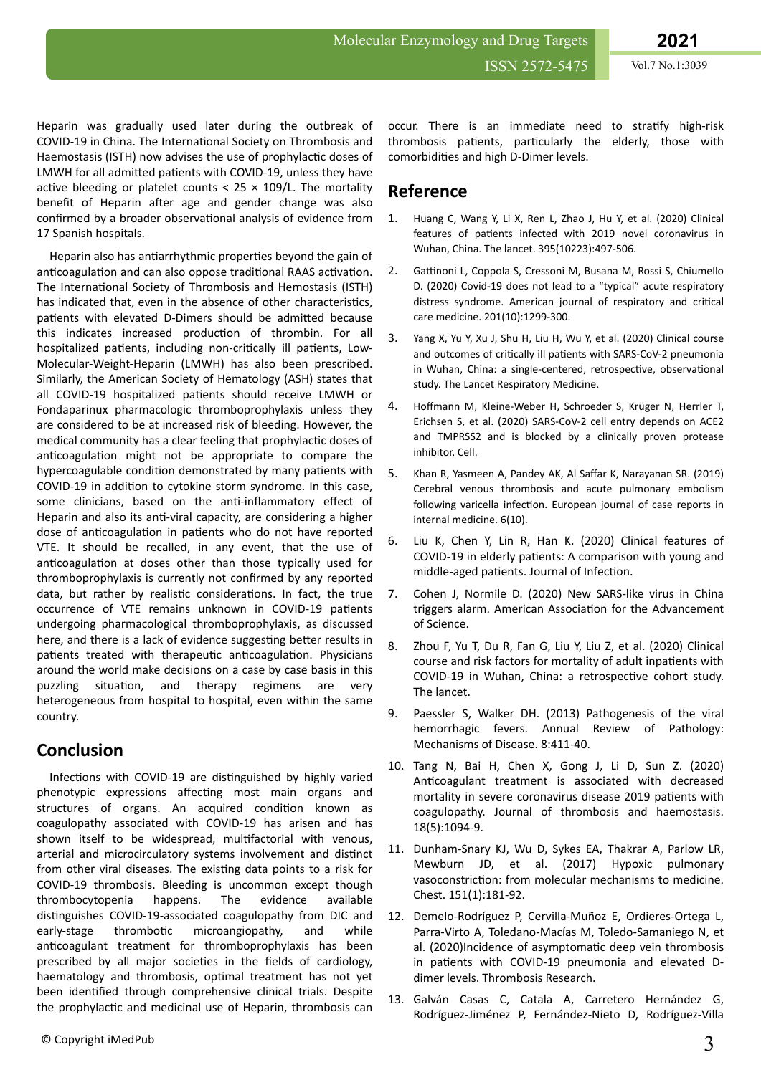Heparin was gradually used later during the outbreak of COVID-19 in China. The International Society on Thrombosis and Haemostasis (ISTH) now advises the use of prophylactic doses of LMWH for all admitted patients with COVID-19, unless they have active bleeding or platelet counts <  $25 \times 109/L$ . The mortality benefit of Heparin after age and gender change was also confirmed by a broader observational analysis of evidence from 17 Spanish hospitals.

Heparin also has antiarrhythmic properties beyond the gain of anticoagulation and can also oppose traditional RAAS activation. The International Society of Thrombosis and Hemostasis (ISTH) has indicated that, even in the absence of other characteristics. patients with elevated D-Dimers should be admitted because this indicates increased production of thrombin. For all hospitalized patients, including non-critically ill patients, Low-Molecular-Weight-Heparin (LMWH) has also been prescribed. Similarly, the American Society of Hematology (ASH) states that all COVID-19 hospitalized patients should receive LMWH or Fondaparinux pharmacologic thromboprophylaxis unless they are considered to be at increased risk of bleeding. However, the medical community has a clear feeling that prophylactic doses of anticoagulation might not be appropriate to compare the hypercoagulable condition demonstrated by many patients with COVID-19 in addition to cytokine storm syndrome. In this case, some clinicians, based on the anti-inflammatory effect of Heparin and also its anti-viral capacity, are considering a higher dose of anticoagulation in patients who do not have reported VTE. It should be recalled, in any event, that the use of anticoagulation at doses other than those typically used for thromboprophylaxis is currently not confirmed by any reported data, but rather by realistic considerations. In fact, the true occurrence of VTE remains unknown in COVID-19 patients undergoing pharmacological thromboprophylaxis, as discussed here, and there is a lack of evidence suggesting better results in patients treated with therapeutic anticoagulation. Physicians around the world make decisions on a case by case basis in this puzzling situation, and therapy regimens are very heterogeneous from hospital to hospital, even within the same country.

## **Conclusion**

Infections with COVID-19 are distinguished by highly varied phenotypic expressions affecting most main organs and structures of organs. An acquired condition known as coagulopathy associated with COVID-19 has arisen and has shown itself to be widespread, multifactorial with venous, arterial and microcirculatory systems involvement and distinct from other viral diseases. The existing data points to a risk for COVID-19 thrombosis. Bleeding is uncommon except though thrombocytopenia happens. The evidence available distinguishes COVID-19-associated coagulopathy from DIC and early-stage thrombotic microangiopathy, and while anticoagulant treatment for thromboprophylaxis has been prescribed by all major societies in the fields of cardiology, haematology and thrombosis, optimal treatment has not yet been identified through comprehensive clinical trials. Despite the prophylactic and medicinal use of Heparin, thrombosis can

occur. There is an immediate need to stratify high-risk thrombosis patients, particularly the elderly, those with comorbidities and high D-Dimer levels.

## **Reference**

- 1. [Huang C, Wang Y, Li X, Ren L, Zhao J, Hu Y, et al. \(2020\) Clinical](file:///C:/Users/omics/Desktop/pulsus/Huang%20C,%20Wang%20Y,%20Li%20X,%20Ren%20L,%20Zhao%20J,%20Hu%20Y,%20et%20al.%20Clinical%20features%20of%20patients%20infected%20with%202019%20novel%20coronavirus%20in%20Wuhan,%20China.%20The%20lancet.%202020;395(10223):497-506) features of patients [infected with 2019 novel coronavirus in](file:///C:/Users/omics/Desktop/pulsus/Huang%20C,%20Wang%20Y,%20Li%20X,%20Ren%20L,%20Zhao%20J,%20Hu%20Y,%20et%20al.%20Clinical%20features%20of%20patients%20infected%20with%202019%20novel%20coronavirus%20in%20Wuhan,%20China.%20The%20lancet.%202020;395(10223):497-506) [Wuhan, China. The lancet. 395\(10223\):497-506.](file:///C:/Users/omics/Desktop/pulsus/Huang%20C,%20Wang%20Y,%20Li%20X,%20Ren%20L,%20Zhao%20J,%20Hu%20Y,%20et%20al.%20Clinical%20features%20of%20patients%20infected%20with%202019%20novel%20coronavirus%20in%20Wuhan,%20China.%20The%20lancet.%202020;395(10223):497-506)
- 2. Gattinoni [L, Coppola S, Cressoni M, Busana M, Rossi S, Chiumello](file:///C:/Users/omics/Desktop/pulsus/Gattinoni%20L,%20Coppola%20S,%20Cressoni%20M,%20Busana%20M,%20Rossi%20S,%20Chiumello%20D.%20Covid-19%20does%20not%20lead%20to%20a) [D. \(2020\) Covid-19 does not lead to a "typical" acute respiratory](file:///C:/Users/omics/Desktop/pulsus/Gattinoni%20L,%20Coppola%20S,%20Cressoni%20M,%20Busana%20M,%20Rossi%20S,%20Chiumello%20D.%20Covid-19%20does%20not%20lead%20to%20a) [distress syndrome. American journal of respiratory and](file:///C:/Users/omics/Desktop/pulsus/Gattinoni%20L,%20Coppola%20S,%20Cressoni%20M,%20Busana%20M,%20Rossi%20S,%20Chiumello%20D.%20Covid-19%20does%20not%20lead%20to%20a) critical [care medicine. 201\(10\):1299-300.](file:///C:/Users/omics/Desktop/pulsus/Gattinoni%20L,%20Coppola%20S,%20Cressoni%20M,%20Busana%20M,%20Rossi%20S,%20Chiumello%20D.%20Covid-19%20does%20not%20lead%20to%20a)
- 3. [Yang X, Yu Y, Xu J, Shu H, Liu H, Wu Y, et al. \(2020\) Clinical course](file:///C:/Users/omics/Desktop/pulsus/Yang%20X,%20Yu%20Y,%20Xu%20J,%20Shu%20H,%20Liu%20H,%20Wu%20Y,%20et%20al.%20Clinical%20course%20and%20outcomes%20of%20critically%20ill%20patients%20with%20SARS-CoV-2%20pneumonia%20in%20Wuhan,%20China:%20a%20single-centered,%20retrospective,%20observational%20study.%20The%20Lancet%20Respiratory%20Medicine.%202020.) and outcomes of critically ill patients [with SARS-CoV-2 pneumonia](file:///C:/Users/omics/Desktop/pulsus/Yang%20X,%20Yu%20Y,%20Xu%20J,%20Shu%20H,%20Liu%20H,%20Wu%20Y,%20et%20al.%20Clinical%20course%20and%20outcomes%20of%20critically%20ill%20patients%20with%20SARS-CoV-2%20pneumonia%20in%20Wuhan,%20China:%20a%20single-centered,%20retrospective,%20observational%20study.%20The%20Lancet%20Respiratory%20Medicine.%202020.) [in Wuhan, China: a single-centered,](file:///C:/Users/omics/Desktop/pulsus/Yang%20X,%20Yu%20Y,%20Xu%20J,%20Shu%20H,%20Liu%20H,%20Wu%20Y,%20et%20al.%20Clinical%20course%20and%20outcomes%20of%20critically%20ill%20patients%20with%20SARS-CoV-2%20pneumonia%20in%20Wuhan,%20China:%20a%20single-centered,%20retrospective,%20observational%20study.%20The%20Lancet%20Respiratory%20Medicine.%202020.) retrospective, observational [study. The Lancet Respiratory Medicine.](file:///C:/Users/omics/Desktop/pulsus/Yang%20X,%20Yu%20Y,%20Xu%20J,%20Shu%20H,%20Liu%20H,%20Wu%20Y,%20et%20al.%20Clinical%20course%20and%20outcomes%20of%20critically%20ill%20patients%20with%20SARS-CoV-2%20pneumonia%20in%20Wuhan,%20China:%20a%20single-centered,%20retrospective,%20observational%20study.%20The%20Lancet%20Respiratory%20Medicine.%202020.)
- 4. Hoffmann [M, Kleine-Weber H, Schroeder S, Krüger N, Herrler T,](file:///C:/Users/omics/Desktop/pulsus/Hoffmann%20M,%20Kleine-Weber%20H,%20Schroeder%20S,%20Krüger%20N,%20Herrler%20T,%20Erichsen%20S,%20et%20al.%20SARS-CoV-2%20cell%20entry%20depends%20on%20ACE2%20and%20TMPRSS2%20and%20is%20blocked%20by%20a%20clinically%20proven%20protease%20inhibitor.%20Cell.%202020) [Erichsen S, et al. \(2020\) SARS-CoV-2 cell entry depends on ACE2](file:///C:/Users/omics/Desktop/pulsus/Hoffmann%20M,%20Kleine-Weber%20H,%20Schroeder%20S,%20Krüger%20N,%20Herrler%20T,%20Erichsen%20S,%20et%20al.%20SARS-CoV-2%20cell%20entry%20depends%20on%20ACE2%20and%20TMPRSS2%20and%20is%20blocked%20by%20a%20clinically%20proven%20protease%20inhibitor.%20Cell.%202020) [and TMPRSS2 and is blocked by a clinically proven protease](file:///C:/Users/omics/Desktop/pulsus/Hoffmann%20M,%20Kleine-Weber%20H,%20Schroeder%20S,%20Krüger%20N,%20Herrler%20T,%20Erichsen%20S,%20et%20al.%20SARS-CoV-2%20cell%20entry%20depends%20on%20ACE2%20and%20TMPRSS2%20and%20is%20blocked%20by%20a%20clinically%20proven%20protease%20inhibitor.%20Cell.%202020) [inhibitor. Cell.](file:///C:/Users/omics/Desktop/pulsus/Hoffmann%20M,%20Kleine-Weber%20H,%20Schroeder%20S,%20Krüger%20N,%20Herrler%20T,%20Erichsen%20S,%20et%20al.%20SARS-CoV-2%20cell%20entry%20depends%20on%20ACE2%20and%20TMPRSS2%20and%20is%20blocked%20by%20a%20clinically%20proven%20protease%20inhibitor.%20Cell.%202020)
- 5. [Khan R, Yasmeen A, Pandey AK, Al](file:///C:/Users/omics/Desktop/pulsus/Khan%20R,%20Yasmeen%20A,%20Pandey%20AK,%20Al%20Saffar%20K,%20Narayanan%20SR.%20Cerebral%20venous%20thrombosis%20and%20acute%20pulmonary%20embolism%20following%20varicella%20infection.%20European%20journal%20of%20case%20reports%20in%20internal%20medicine.%202019;6(10)) Saffar K, Narayanan SR. (2019) [Cerebral venous thrombosis and acute pulmonary embolism](file:///C:/Users/omics/Desktop/pulsus/Khan%20R,%20Yasmeen%20A,%20Pandey%20AK,%20Al%20Saffar%20K,%20Narayanan%20SR.%20Cerebral%20venous%20thrombosis%20and%20acute%20pulmonary%20embolism%20following%20varicella%20infection.%20European%20journal%20of%20case%20reports%20in%20internal%20medicine.%202019;6(10)) following varicella infection. [European journal of case reports in](file:///C:/Users/omics/Desktop/pulsus/Khan%20R,%20Yasmeen%20A,%20Pandey%20AK,%20Al%20Saffar%20K,%20Narayanan%20SR.%20Cerebral%20venous%20thrombosis%20and%20acute%20pulmonary%20embolism%20following%20varicella%20infection.%20European%20journal%20of%20case%20reports%20in%20internal%20medicine.%202019;6(10)) [internal medicine. 6\(10\).](file:///C:/Users/omics/Desktop/pulsus/Khan%20R,%20Yasmeen%20A,%20Pandey%20AK,%20Al%20Saffar%20K,%20Narayanan%20SR.%20Cerebral%20venous%20thrombosis%20and%20acute%20pulmonary%20embolism%20following%20varicella%20infection.%20European%20journal%20of%20case%20reports%20in%20internal%20medicine.%202019;6(10))
- 6. Liu K, Chen Y, Lin R, Han K. (2020) Clinical features of COVID-19 in elderly patients: A comparison with young and middle-aged patients. Journal of Infection.
- 7. Cohen J, Normile D. (2020) New SARS-like virus in China triggers alarm. American Association for the Advancement of Science.
- 8. Zhou F, Yu T, Du R, Fan G, Liu Y, Liu Z, et al. (2020) Clinical course and risk factors for mortality of adult inpatients with COVID-19 in Wuhan, China: a retrospective cohort study. The lancet.
- 9. Paessler S, Walker DH. (2013) Pathogenesis of the viral hemorrhagic fevers. Annual Review of Pathology: Mechanisms of Disease. 8:411-40.
- 10. Tang N, Bai H, Chen X, Gong J, Li D, Sun Z. (2020) Anticoagulant treatment is associated with decreased mortality in severe coronavirus disease 2019 patients with coagulopathy. Journal of thrombosis and haemostasis. 18(5):1094-9.
- 11. Dunham-Snary KJ, Wu D, Sykes EA, Thakrar A, Parlow LR, Mewburn JD, et al. (2017) Hypoxic pulmonary vasoconstriction: from molecular mechanisms to medicine. Chest. 151(1):181-92.
- 12. Demelo-Rodríguez P, Cervilla-Muñoz E, Ordieres-Ortega L, Parra-Virto A, Toledano-Macías M, Toledo-Samaniego N, et al. (2020)Incidence of asymptomatic deep vein thrombosis in patients with COVID-19 pneumonia and elevated Ddimer levels. Thrombosis Research.
- 13. Galván Casas C, Catala A, Carretero Hernández G, Rodríguez-Jiménez P, Fernández-Nieto D, Rodríguez-Villa